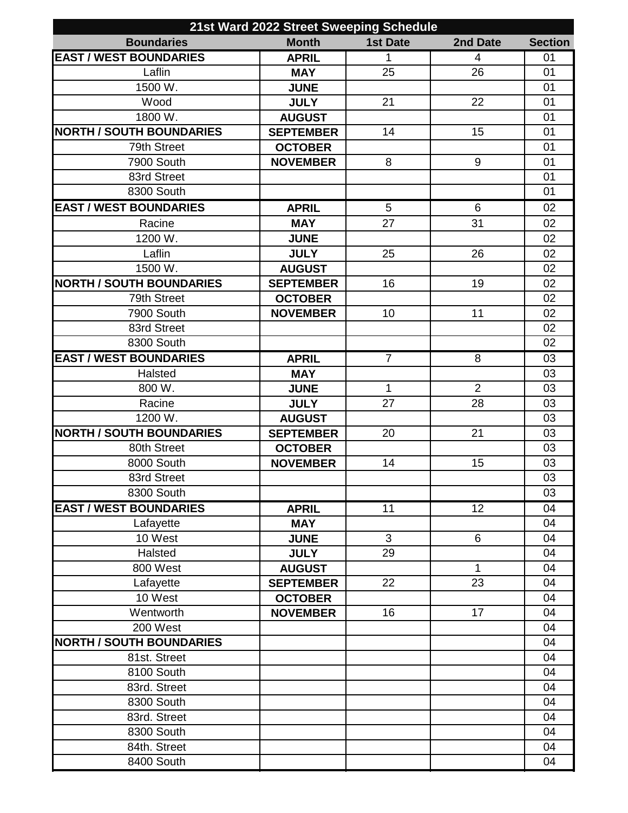| 21st Ward 2022 Street Sweeping Schedule |                                    |                 |                |                |
|-----------------------------------------|------------------------------------|-----------------|----------------|----------------|
| <b>Boundaries</b>                       | <b>Month</b>                       | <b>1st Date</b> | 2nd Date       | <b>Section</b> |
| <b>EAST / WEST BOUNDARIES</b>           | <b>APRIL</b>                       | 1               | 4              | 01             |
| Laflin                                  | <b>MAY</b>                         | 25              | 26             | 01             |
| 1500 W.                                 | <b>JUNE</b>                        |                 |                | 01             |
| Wood                                    | <b>JULY</b>                        | 21              | 22             | 01             |
| 1800 W.                                 | <b>AUGUST</b>                      |                 |                | 01             |
| <b>NORTH / SOUTH BOUNDARIES</b>         | <b>SEPTEMBER</b>                   | 14              | 15             | 01             |
| 79th Street                             | <b>OCTOBER</b>                     |                 |                | 01             |
| 7900 South                              | <b>NOVEMBER</b>                    | 8               | 9              | 01             |
| 83rd Street                             |                                    |                 |                | 01             |
| 8300 South                              |                                    |                 |                | 01             |
| <b>EAST / WEST BOUNDARIES</b>           | <b>APRIL</b>                       | 5               | $6\phantom{1}$ | 02             |
| Racine                                  | <b>MAY</b>                         | 27              | 31             | 02             |
| 1200 W.                                 | <b>JUNE</b>                        |                 |                | 02             |
| Laflin                                  | <b>JULY</b>                        | 25              | 26             | 02             |
| 1500 W.                                 | <b>AUGUST</b>                      |                 |                | 02             |
| <b>NORTH / SOUTH BOUNDARIES</b>         | <b>SEPTEMBER</b>                   | 16              | 19             | 02             |
| 79th Street                             | <b>OCTOBER</b>                     |                 |                | 02             |
| 7900 South                              | <b>NOVEMBER</b>                    | 10              | 11             | 02             |
| 83rd Street                             |                                    |                 |                | 02             |
| 8300 South                              |                                    |                 |                | 02             |
| <b>EAST / WEST BOUNDARIES</b>           | <b>APRIL</b>                       | $\overline{7}$  | 8              | 03             |
| Halsted                                 | <b>MAY</b>                         |                 |                | 03             |
| 800 W.                                  | <b>JUNE</b>                        | $\mathbf 1$     | $\overline{2}$ | 03             |
| Racine                                  | <b>JULY</b>                        | 27              | 28             | 03             |
| 1200 W.                                 | <b>AUGUST</b>                      |                 |                | 03             |
| <b>NORTH / SOUTH BOUNDARIES</b>         |                                    | 20              | 21             | 03             |
| 80th Street                             | <b>SEPTEMBER</b><br><b>OCTOBER</b> |                 |                | 03             |
|                                         |                                    | 14              |                | 03             |
| 8000 South                              | <b>NOVEMBER</b>                    |                 | 15             |                |
| 83rd Street                             |                                    |                 |                | 03             |
| 8300 South                              |                                    |                 |                | 03             |
| <b>EAST / WEST BOUNDARIES</b>           | <b>APRIL</b>                       | 11              | 12             | 04             |
| Lafayette                               | <b>MAY</b>                         |                 |                | 04             |
| 10 West                                 | <b>JUNE</b>                        | 3               | $6\phantom{1}$ | 04             |
| Halsted                                 | <b>JULY</b>                        | 29              |                | 04             |
| 800 West                                | <b>AUGUST</b>                      |                 | 1              | 04             |
| Lafayette                               | <b>SEPTEMBER</b>                   | 22              | 23             | 04             |
| 10 West                                 | <b>OCTOBER</b>                     |                 |                | 04             |
| Wentworth                               | <b>NOVEMBER</b>                    | 16              | 17             | 04             |
| 200 West                                |                                    |                 |                | 04             |
| <b>NORTH / SOUTH BOUNDARIES</b>         |                                    |                 |                | 04             |
| 81st. Street                            |                                    |                 |                | 04             |
| 8100 South                              |                                    |                 |                | 04             |
| 83rd. Street                            |                                    |                 |                | 04             |
| 8300 South                              |                                    |                 |                | 04             |
| 83rd. Street                            |                                    |                 |                | 04             |
| 8300 South                              |                                    |                 |                | 04             |
| 84th. Street                            |                                    |                 |                | 04             |
| 8400 South                              |                                    |                 |                | 04             |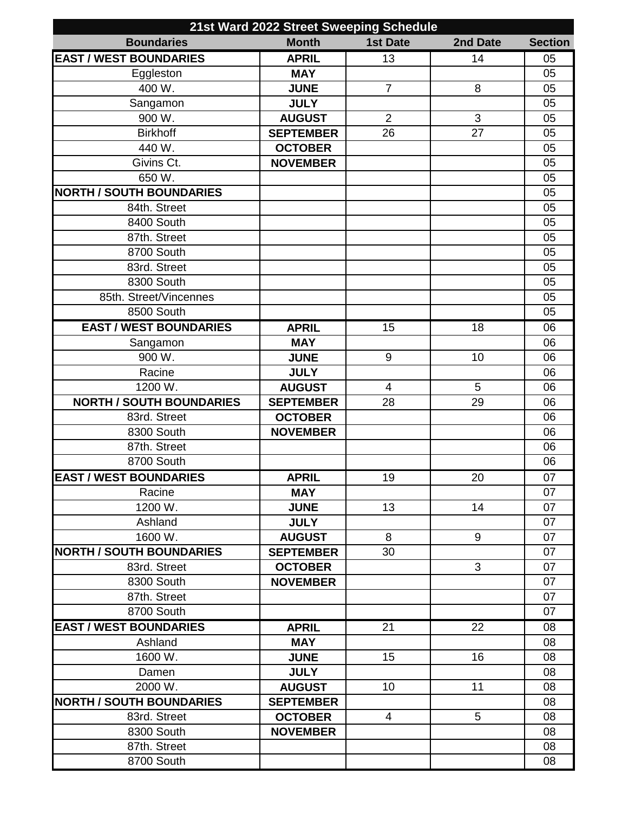| 21st Ward 2022 Street Sweeping Schedule |                  |                 |                 |                |
|-----------------------------------------|------------------|-----------------|-----------------|----------------|
| <b>Boundaries</b>                       | <b>Month</b>     | <b>1st Date</b> | 2nd Date        | <b>Section</b> |
| <b>EAST / WEST BOUNDARIES</b>           | <b>APRIL</b>     | 13              | 14              | 05             |
| Eggleston                               | <b>MAY</b>       |                 |                 | 05             |
| 400 W.                                  | <b>JUNE</b>      | $\overline{7}$  | 8               | 05             |
| Sangamon                                | <b>JULY</b>      |                 |                 | 05             |
| 900 W.                                  | <b>AUGUST</b>    | $\overline{2}$  | 3               | 05             |
| <b>Birkhoff</b>                         | <b>SEPTEMBER</b> | 26              | 27              | 05             |
| 440 W.                                  | <b>OCTOBER</b>   |                 |                 | 05             |
| Givins Ct.                              | <b>NOVEMBER</b>  |                 |                 | 05             |
| 650 W.                                  |                  |                 |                 | 05             |
| <b>NORTH / SOUTH BOUNDARIES</b>         |                  |                 |                 | 05             |
| 84th. Street                            |                  |                 |                 | 05             |
| 8400 South                              |                  |                 |                 | 05             |
| 87th. Street                            |                  |                 |                 | 05             |
| 8700 South                              |                  |                 |                 | 05             |
| 83rd. Street                            |                  |                 |                 | 05             |
| 8300 South                              |                  |                 |                 | 05             |
| 85th. Street/Vincennes                  |                  |                 |                 | 05             |
| 8500 South                              |                  |                 |                 | 05             |
| <b>EAST / WEST BOUNDARIES</b>           | <b>APRIL</b>     | 15              | 18              | 06             |
| Sangamon                                | <b>MAY</b>       |                 |                 | 06             |
| 900 W.                                  | <b>JUNE</b>      | 9               | 10              | 06             |
| Racine                                  | <b>JULY</b>      |                 |                 | 06             |
| 1200 W.                                 | <b>AUGUST</b>    | $\overline{4}$  | 5               | 06             |
| <b>NORTH / SOUTH BOUNDARIES</b>         | <b>SEPTEMBER</b> | 28              | 29              | 06             |
| 83rd. Street                            | <b>OCTOBER</b>   |                 |                 | 06             |
| 8300 South                              | <b>NOVEMBER</b>  |                 |                 | 06             |
| 87th. Street                            |                  |                 |                 | 06             |
| 8700 South                              |                  |                 |                 | 06             |
| <b>EAST / WEST BOUNDARIES</b>           | <b>APRIL</b>     | 19              | 20              | 07             |
| Racine                                  | <b>MAY</b>       |                 |                 | 07             |
| 1200 W.                                 | <b>JUNE</b>      | 13              | 14              | 07             |
| Ashland                                 | <b>JULY</b>      |                 |                 | 07             |
| 1600 W.                                 | <b>AUGUST</b>    | 8               | 9               | 07             |
| <b>NORTH / SOUTH BOUNDARIES</b>         | <b>SEPTEMBER</b> | 30              |                 | 07             |
| 83rd. Street                            | <b>OCTOBER</b>   |                 | 3               | 07             |
| 8300 South                              | <b>NOVEMBER</b>  |                 |                 | 07             |
| 87th. Street                            |                  |                 |                 | 07             |
| 8700 South                              |                  |                 |                 | 07             |
| <b>EAST / WEST BOUNDARIES</b>           | <b>APRIL</b>     | 21              | $\overline{22}$ | 08             |
| Ashland                                 | <b>MAY</b>       |                 |                 | 08             |
| 1600 W.                                 | <b>JUNE</b>      | 15              | 16              | 08             |
| Damen                                   | <b>JULY</b>      |                 |                 | 08             |
| 2000 W.                                 | <b>AUGUST</b>    | 10              | 11              | 08             |
| <b>NORTH / SOUTH BOUNDARIES</b>         | <b>SEPTEMBER</b> |                 |                 | 08             |
| 83rd. Street                            | <b>OCTOBER</b>   | $\overline{4}$  | 5               | 08             |
| 8300 South                              | <b>NOVEMBER</b>  |                 |                 | 08             |
| 87th. Street                            |                  |                 |                 | 08             |
| 8700 South                              |                  |                 |                 | 08             |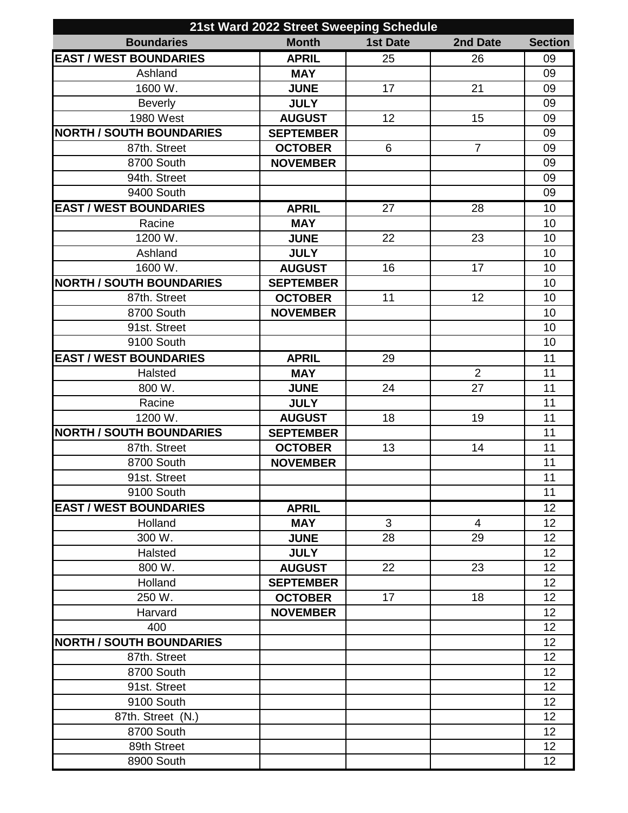| 21st Ward 2022 Street Sweeping Schedule |                  |                 |                |                 |
|-----------------------------------------|------------------|-----------------|----------------|-----------------|
| <b>Boundaries</b>                       | <b>Month</b>     | <b>1st Date</b> | 2nd Date       | <b>Section</b>  |
| <b>EAST / WEST BOUNDARIES</b>           | <b>APRIL</b>     | 25              | 26             | 09              |
| Ashland                                 | <b>MAY</b>       |                 |                | 09              |
| 1600 W.                                 | <b>JUNE</b>      | 17              | 21             | 09              |
| <b>Beverly</b>                          | <b>JULY</b>      |                 |                | 09              |
| 1980 West                               | <b>AUGUST</b>    | 12              | 15             | 09              |
| <b>NORTH / SOUTH BOUNDARIES</b>         | <b>SEPTEMBER</b> |                 |                | 09              |
| 87th. Street                            | <b>OCTOBER</b>   | 6               | $\overline{7}$ | 09              |
| 8700 South                              | <b>NOVEMBER</b>  |                 |                | 09              |
| 94th. Street                            |                  |                 |                | 09              |
| 9400 South                              |                  |                 |                | 09              |
| <b>EAST / WEST BOUNDARIES</b>           | <b>APRIL</b>     | 27              | 28             | 10              |
| Racine                                  | <b>MAY</b>       |                 |                | 10              |
| 1200 W.                                 | <b>JUNE</b>      | 22              | 23             | 10              |
| Ashland                                 | <b>JULY</b>      |                 |                | 10              |
| 1600 W.                                 | <b>AUGUST</b>    | 16              | 17             | 10              |
| <b>NORTH / SOUTH BOUNDARIES</b>         | <b>SEPTEMBER</b> |                 |                | 10              |
| 87th. Street                            | <b>OCTOBER</b>   | 11              | 12             | 10              |
| 8700 South                              | <b>NOVEMBER</b>  |                 |                | 10              |
| 91st. Street                            |                  |                 |                | 10              |
| 9100 South                              |                  |                 |                | 10              |
| <b>EAST / WEST BOUNDARIES</b>           | <b>APRIL</b>     | 29              |                | 11              |
| Halsted                                 | <b>MAY</b>       |                 | $\overline{2}$ | 11              |
| 800 W.                                  | <b>JUNE</b>      | 24              | 27             | 11              |
| Racine                                  | <b>JULY</b>      |                 |                | 11              |
| 1200 W.                                 | <b>AUGUST</b>    | 18              | 19             | 11              |
| <b>NORTH / SOUTH BOUNDARIES</b>         | <b>SEPTEMBER</b> |                 |                | 11              |
| 87th. Street                            | <b>OCTOBER</b>   | 13              | 14             | 11              |
| 8700 South                              | <b>NOVEMBER</b>  |                 |                | 11              |
| 91st. Street                            |                  |                 |                | 11              |
| 9100 South                              |                  |                 |                | 11              |
| <b>EAST / WEST BOUNDARIES</b>           | <b>APRIL</b>     |                 |                | 12              |
| Holland                                 | <b>MAY</b>       | 3               | $\overline{4}$ | 12              |
| 300 W.                                  | <b>JUNE</b>      | 28              | 29             | 12              |
| Halsted                                 | <b>JULY</b>      |                 |                | 12              |
| 800 W.                                  | <b>AUGUST</b>    | 22              | 23             | 12              |
| Holland                                 | <b>SEPTEMBER</b> |                 |                | 12              |
| 250 W.                                  | <b>OCTOBER</b>   | 17              | 18             | 12              |
| Harvard                                 | <b>NOVEMBER</b>  |                 |                | 12              |
| 400                                     |                  |                 |                | 12              |
| <b>NORTH / SOUTH BOUNDARIES</b>         |                  |                 |                | 12              |
| 87th. Street                            |                  |                 |                | 12              |
| 8700 South                              |                  |                 |                | 12              |
| 91st. Street                            |                  |                 |                | 12 <sub>2</sub> |
| 9100 South                              |                  |                 |                | 12              |
| 87th. Street (N.)                       |                  |                 |                | 12              |
| 8700 South                              |                  |                 |                | 12              |
| 89th Street                             |                  |                 |                | 12              |
| 8900 South                              |                  |                 |                | 12              |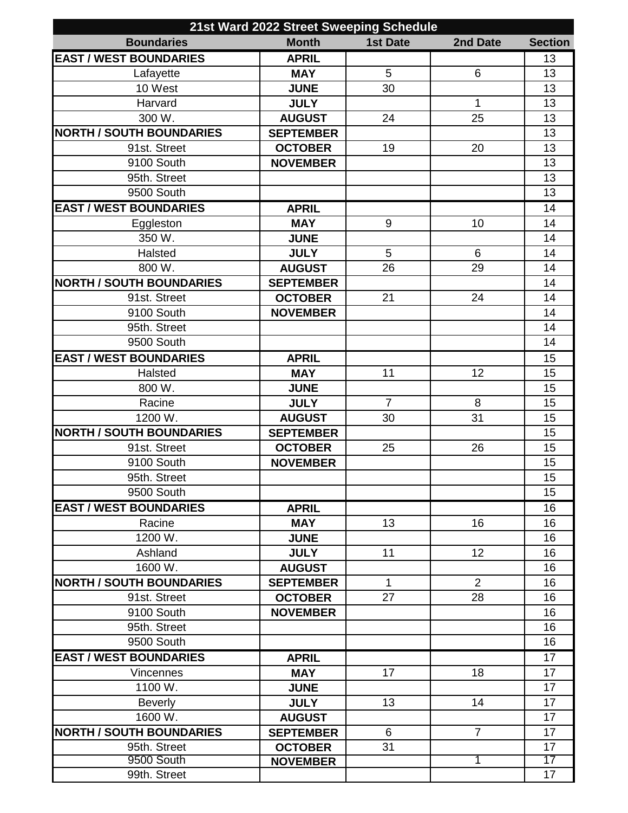| 21st Ward 2022 Street Sweeping Schedule |                  |                  |                 |                 |
|-----------------------------------------|------------------|------------------|-----------------|-----------------|
| <b>Boundaries</b>                       | <b>Month</b>     | <b>1st Date</b>  | 2nd Date        | <b>Section</b>  |
| <b>EAST / WEST BOUNDARIES</b>           | <b>APRIL</b>     |                  |                 | 13              |
| Lafayette                               | <b>MAY</b>       | 5                | $6\phantom{1}$  | 13              |
| 10 West                                 | <b>JUNE</b>      | 30               |                 | 13              |
| Harvard                                 | <b>JULY</b>      |                  | 1               | 13              |
| 300 W.                                  | <b>AUGUST</b>    | 24               | 25              | 13              |
| <b>NORTH / SOUTH BOUNDARIES</b>         | <b>SEPTEMBER</b> |                  |                 | 13              |
| 91st. Street                            | <b>OCTOBER</b>   | 19               | 20              | 13              |
| 9100 South                              | <b>NOVEMBER</b>  |                  |                 | 13              |
| 95th. Street                            |                  |                  |                 | $\overline{13}$ |
| 9500 South                              |                  |                  |                 | 13              |
| <b>EAST / WEST BOUNDARIES</b>           | <b>APRIL</b>     |                  |                 | $\overline{14}$ |
| Eggleston                               | <b>MAY</b>       | $\boldsymbol{9}$ | 10              | 14              |
| 350 W.                                  | <b>JUNE</b>      |                  |                 | 14              |
| Halsted                                 | <b>JULY</b>      | 5                | $6\phantom{1}6$ | 14              |
| 800 W.                                  | <b>AUGUST</b>    | 26               | 29              | 14              |
| <b>NORTH / SOUTH BOUNDARIES</b>         | <b>SEPTEMBER</b> |                  |                 | 14              |
| 91st. Street                            | <b>OCTOBER</b>   | 21               | 24              | 14              |
| 9100 South                              | <b>NOVEMBER</b>  |                  |                 | 14              |
| 95th. Street                            |                  |                  |                 | 14              |
| 9500 South                              |                  |                  |                 | 14              |
| <b>EAST / WEST BOUNDARIES</b>           | <b>APRIL</b>     |                  |                 | 15              |
| Halsted                                 | <b>MAY</b>       | 11               | 12              | 15              |
| 800 W.                                  | <b>JUNE</b>      |                  |                 | 15              |
| Racine                                  | <b>JULY</b>      | $\overline{7}$   | 8               | 15              |
| 1200 W.                                 | <b>AUGUST</b>    | 30               | 31              | 15              |
| <b>NORTH / SOUTH BOUNDARIES</b>         | <b>SEPTEMBER</b> |                  |                 | 15              |
| 91st. Street                            | <b>OCTOBER</b>   | 25               | 26              | 15              |
| 9100 South                              | <b>NOVEMBER</b>  |                  |                 | 15              |
| 95th. Street                            |                  |                  |                 | 15              |
| 9500 South                              |                  |                  |                 | 15              |
| <b>EAST / WEST BOUNDARIES</b>           | <b>APRIL</b>     |                  |                 | 16              |
| Racine                                  | <b>MAY</b>       | 13               | 16              | 16              |
| 1200 W.                                 | <b>JUNE</b>      |                  |                 | 16              |
| Ashland                                 | <b>JULY</b>      | 11               | 12              | 16              |
| 1600 W.                                 | <b>AUGUST</b>    |                  |                 | 16              |
| <b>NORTH / SOUTH BOUNDARIES</b>         | <b>SEPTEMBER</b> | 1                | 2               | 16              |
| 91st. Street                            | <b>OCTOBER</b>   | 27               | 28              | 16              |
| 9100 South                              | <b>NOVEMBER</b>  |                  |                 | 16              |
| 95th. Street                            |                  |                  |                 | 16              |
| 9500 South                              |                  |                  |                 | 16              |
| <b>EAST / WEST BOUNDARIES</b>           | <b>APRIL</b>     |                  |                 | $\overline{17}$ |
| <b>Vincennes</b>                        | <b>MAY</b>       | 17               | 18              | 17              |
| 1100 W.                                 | <b>JUNE</b>      |                  |                 | $\overline{17}$ |
| <b>Beverly</b>                          | <b>JULY</b>      | 13               | 14              | 17              |
| 1600 W.                                 | <b>AUGUST</b>    |                  |                 | 17              |
| <b>NORTH / SOUTH BOUNDARIES</b>         | <b>SEPTEMBER</b> | 6                | $\overline{7}$  | 17              |
| 95th. Street                            | <b>OCTOBER</b>   | 31               |                 | 17              |
| 9500 South                              | <b>NOVEMBER</b>  |                  |                 | 17              |
| 99th. Street                            |                  |                  |                 | 17              |